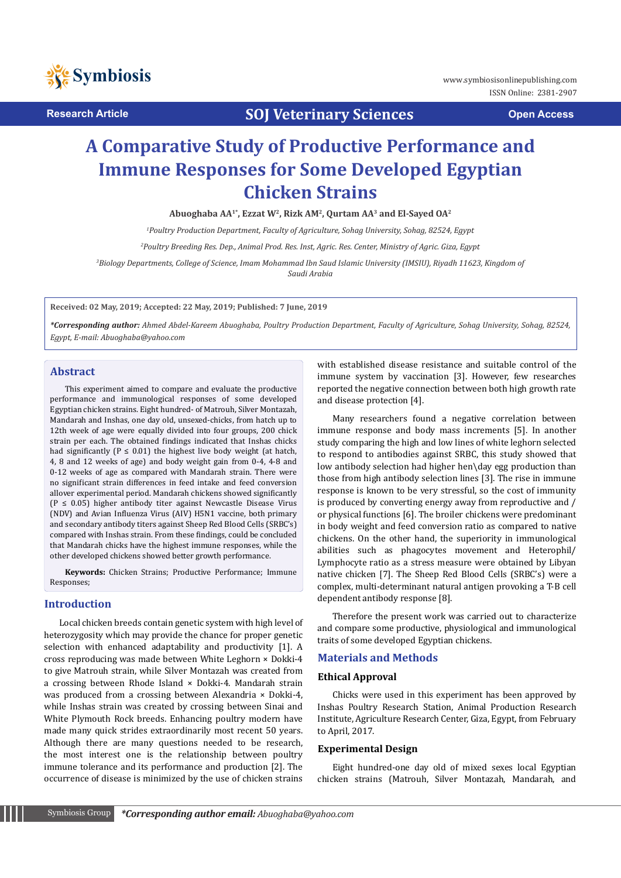

**Research Article SOJ Veterinary Sciences Open Access**

# **A Comparative Study of Productive Performance and Immune Responses for Some Developed Egyptian Chicken Strains**

**Abuoghaba AA1\*, Ezzat W2, Rizk AM2, Qurtam AA3 and El-Sayed OA2**

*1 Poultry Production Department, Faculty of Agriculture, Sohag University, Sohag, 82524, Egypt* 

*2 Poultry Breeding Res. Dep., Animal Prod. Res. Inst, Agric. Res. Center, Ministry of Agric. Giza, Egypt*

<sup>3</sup>Biology Departments, College of Science, Imam Mohammad Ibn Saud Islamic University (IMSIU), Riyadh 11623, Kingdom of *Saudi Arabia*

**Received: 02 May, 2019; Accepted: 22 May, 2019; Published: 7 June, 2019**

*\*Corresponding author: Ahmed Abdel-Kareem Abuoghaba, Poultry Production Department, Faculty of Agriculture, Sohag University, Sohag, 82524, Egypt, E-mail: Abuoghaba@yahoo.com* 

## **Abstract**

This experiment aimed to compare and evaluate the productive performance and immunological responses of some developed Egyptian chicken strains. Eight hundred- of Matrouh, Silver Montazah, Mandarah and Inshas, one day old, unsexed-chicks, from hatch up to 12th week of age were equally divided into four groups, 200 chick strain per each. The obtained findings indicated that Inshas chicks had significantly ( $P \le 0.01$ ) the highest live body weight (at hatch, 4, 8 and 12 weeks of age) and body weight gain from 0-4, 4-8 and 0-12 weeks of age as compared with Mandarah strain. There were no significant strain differences in feed intake and feed conversion allover experimental period. Mandarah chickens showed significantly (P ≤ 0.05) higher antibody titer against Newcastle Disease Virus (NDV) and Avian Influenza Virus (AIV) H5N1 vaccine, both primary and secondary antibody titers against Sheep Red Blood Cells (SRBC's) compared with Inshas strain. From these findings, could be concluded that Mandarah chicks have the highest immune responses, while the other developed chickens showed better growth performance.

**Keywords:** Chicken Strains; Productive Performance; Immune Responses;

#### **Introduction**

Local chicken breeds contain genetic system with high level of heterozygosity which may provide the chance for proper genetic selection with enhanced adaptability and productivity [1]. A cross reproducing was made between White Leghorn × Dokki-4 to give Matrouh strain, while Silver Montazah was created from a crossing between Rhode Island × Dokki-4. Mandarah strain was produced from a crossing between Alexandria × Dokki-4, while Inshas strain was created by crossing between Sinai and White Plymouth Rock breeds. Enhancing poultry modern have made many quick strides extraordinarily most recent 50 years. Although there are many questions needed to be research, the most interest one is the relationship between poultry immune tolerance and its performance and production [2]. The occurrence of disease is minimized by the use of chicken strains with established disease resistance and suitable control of the immune system by vaccination [3]. However, few researches reported the negative connection between both high growth rate and disease protection [4].

Many researchers found a negative correlation between immune response and body mass increments [5]. In another study comparing the high and low lines of white leghorn selected to respond to antibodies against SRBC, this study showed that low antibody selection had higher hen\day egg production than those from high antibody selection lines [3]. The rise in immune response is known to be very stressful, so the cost of immunity is produced by converting energy away from reproductive and / or physical functions [6]. The broiler chickens were predominant in body weight and feed conversion ratio as compared to native chickens. On the other hand, the superiority in immunological abilities such as phagocytes movement and Heterophil/ Lymphocyte ratio as a stress measure were obtained by Libyan native chicken [7]. The Sheep Red Blood Cells (SRBC's) were a complex, multi-determinant natural antigen provoking a T-B cell dependent antibody response [8].

Therefore the present work was carried out to characterize and compare some productive, physiological and immunological traits of some developed Egyptian chickens.

## **Materials and Methods**

#### **Ethical Approval**

Chicks were used in this experiment has been approved by Inshas Poultry Research Station, Animal Production Research Institute, Agriculture Research Center, Giza, Egypt, from February to April, 2017.

#### **Experimental Design**

Eight hundred-one day old of mixed sexes local Egyptian chicken strains (Matrouh, Silver Montazah, Mandarah, and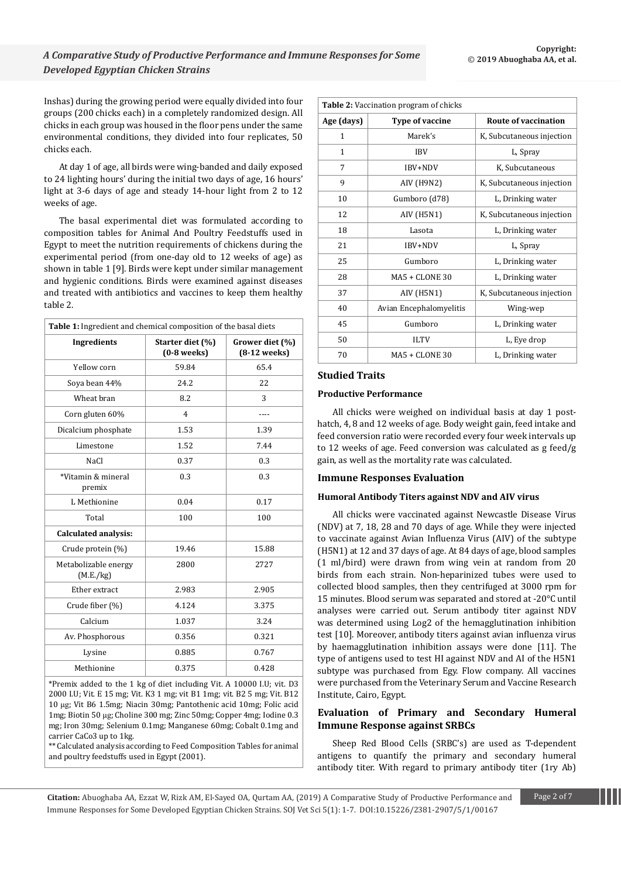Inshas) during the growing period were equally divided into four groups (200 chicks each) in a completely randomized design. All chicks in each group was housed in the floor pens under the same environmental conditions, they divided into four replicates, 50 chicks each.

At day 1 of age, all birds were wing-banded and daily exposed to 24 lighting hours' during the initial two days of age, 16 hours' light at 3-6 days of age and steady 14-hour light from 2 to 12 weeks of age.

The basal experimental diet was formulated according to composition tables for Animal And Poultry Feedstuffs used in Egypt to meet the nutrition requirements of chickens during the experimental period (from one-day old to 12 weeks of age) as shown in table 1 [9]. Birds were kept under similar management and hygienic conditions. Birds were examined against diseases and treated with antibiotics and vaccines to keep them healthy table 2.

| Table 1: Ingredient and chemical composition of the basal diets |                                   |                                   |  |  |  |
|-----------------------------------------------------------------|-----------------------------------|-----------------------------------|--|--|--|
| <b>Ingredients</b>                                              | Starter diet (%)<br>$(0-8$ weeks) | Grower diet (%)<br>$(8-12$ weeks) |  |  |  |
| Yellow corn                                                     | 59.84                             | 65.4                              |  |  |  |
| Soya bean 44%                                                   | 24.2                              | 22                                |  |  |  |
| Wheat bran                                                      | 8.2                               | 3                                 |  |  |  |
| Corn gluten 60%                                                 | $\overline{4}$                    |                                   |  |  |  |
| Dicalcium phosphate                                             | 1.53                              | 1.39                              |  |  |  |
| Limestone                                                       | 1.52                              | 7.44                              |  |  |  |
| NaCl                                                            | 0.37                              | 0.3                               |  |  |  |
| *Vitamin & mineral<br>premix                                    | 0.3                               | 0.3                               |  |  |  |
| L Methionine                                                    | 0.04                              | 0.17                              |  |  |  |
| Total                                                           | 100                               | 100                               |  |  |  |
| <b>Calculated analysis:</b>                                     |                                   |                                   |  |  |  |
| Crude protein (%)                                               | 19.46                             | 15.88                             |  |  |  |
| Metabolizable energy<br>(M.E./kg)                               | 2800<br>2727                      |                                   |  |  |  |
| Ether extract                                                   | 2.983                             | 2.905                             |  |  |  |
| Crude fiber (%)                                                 | 4.124                             | 3.375                             |  |  |  |
| Calcium                                                         | 1.037                             | 3.24                              |  |  |  |
| Av. Phosphorous                                                 | 0.356                             | 0.321                             |  |  |  |
| Lysine                                                          | 0.885                             | 0.767                             |  |  |  |
| Methionine                                                      | 0.375                             | 0.428                             |  |  |  |

\*Premix added to the 1 kg of diet including Vit. A 10000 I.U; vit. D3 2000 I.U; Vit. E 15 mg; Vit. K3 1 mg; vit B1 1mg; vit. B2 5 mg; Vit. B12 10 μg; Vit B6 1.5mg; Niacin 30mg; Pantothenic acid 10mg; Folic acid 1mg; Biotin 50 μg; Choline 300 mg; Zinc 50mg; Copper 4mg; Iodine 0.3 mg; Iron 30mg; Selenium 0.1mg; Manganese 60mg; Cobalt 0.1mg and carrier CaCo3 up to 1kg.

\*\* Calculated analysis according to Feed Composition Tables for animal and poultry feedstuffs used in Egypt (2001).

| Table 2: Vaccination program of chicks |                         |                             |  |  |  |
|----------------------------------------|-------------------------|-----------------------------|--|--|--|
| Age (days)                             | Type of vaccine         | <b>Route of vaccination</b> |  |  |  |
| $\mathbf{1}$                           | Marek's                 | K, Subcutaneous injection   |  |  |  |
| $\mathbf{1}$                           | <b>IBV</b>              | L, Spray                    |  |  |  |
| 7                                      | IBV+NDV                 | K, Subcutaneous             |  |  |  |
| 9                                      | <b>AIV (H9N2)</b>       | K, Subcutaneous injection   |  |  |  |
| 10                                     | Gumboro (d78)           | L, Drinking water           |  |  |  |
| 12                                     | AIV (H5N1)              | K, Subcutaneous injection   |  |  |  |
| 18                                     | Lasota                  | L, Drinking water           |  |  |  |
| 21                                     | IBV+NDV                 | L, Spray                    |  |  |  |
| 25                                     | Gumboro                 | L, Drinking water           |  |  |  |
| 28                                     | $MA5 + CLONE 30$        | L, Drinking water           |  |  |  |
| 37                                     | AIV (H5N1)              | K, Subcutaneous injection   |  |  |  |
| 40                                     | Avian Encephalomyelitis | Wing-wep                    |  |  |  |
| 45                                     | Gumboro                 | L, Drinking water           |  |  |  |
| 50                                     | <b>ILTV</b>             | L, Eye drop                 |  |  |  |
| 70                                     | $MA5 + CLONE 30$        | L, Drinking water           |  |  |  |

## **Studied Traits**

#### **Productive Performance**

All chicks were weighed on individual basis at day 1 posthatch, 4, 8 and 12 weeks of age. Body weight gain, feed intake and feed conversion ratio were recorded every four week intervals up to 12 weeks of age. Feed conversion was calculated as g feed/g gain, as well as the mortality rate was calculated.

#### **Immune Responses Evaluation**

#### **Humoral Antibody Titers against NDV and AIV virus**

All chicks were vaccinated against Newcastle Disease Virus (NDV) at 7, 18, 28 and 70 days of age. While they were injected to vaccinate against Avian Influenza Virus (AIV) of the subtype (H5N1) at 12 and 37 days of age. At 84 days of age, blood samples (1 ml/bird) were drawn from wing vein at random from 20 birds from each strain. Non-heparinized tubes were used to collected blood samples, then they centrifuged at 3000 rpm for 15 minutes. Blood serum was separated and stored at -20°C until analyses were carried out. Serum antibody titer against NDV was determined using Log2 of the hemagglutination inhibition test [10]. Moreover, antibody titers against avian influenza virus by haemagglutination inhibition assays were done [11]. The type of antigens used to test HI against NDV and AI of the H5N1 subtype was purchased from Egy. Flow company. All vaccines were purchased from the Veterinary Serum and Vaccine Research Institute, Cairo, Egypt.

## **Evaluation of Primary and Secondary Humeral Immune Response against SRBCs**

Sheep Red Blood Cells (SRBC's) are used as T-dependent antigens to quantify the primary and secondary humeral antibody titer. With regard to primary antibody titer (1ry Ab)

**Citation:** Abuoghaba AA, Ezzat W, Rizk AM, El-Sayed OA, Qurtam AA, (2019) A Comparative Study of Productive Performance and Page 2 of 7 Immune Responses for Some Developed Egyptian Chicken Strains. SOJ Vet Sci 5(1): 1-7. DOI:10.15226/2381-2907/5/1/00167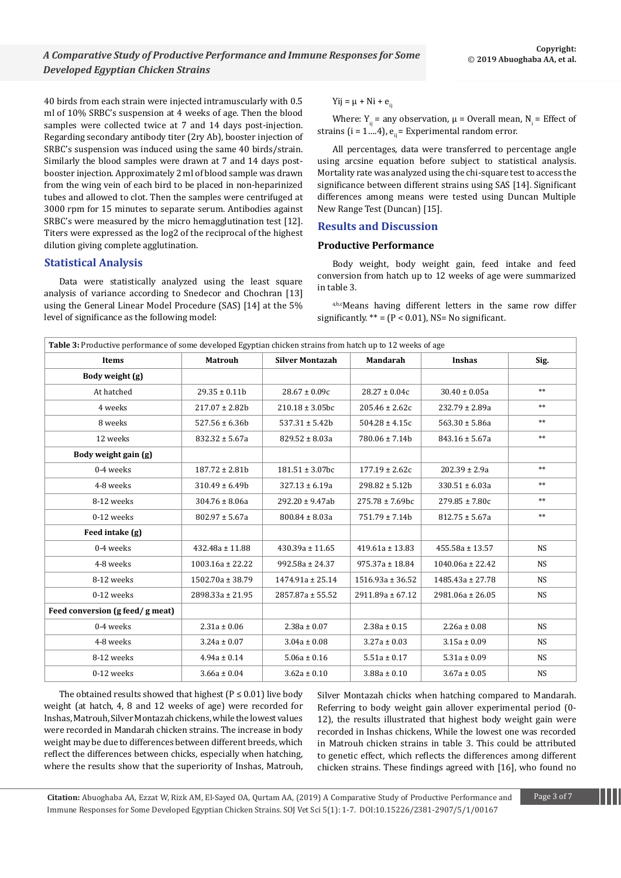40 birds from each strain were injected intramuscularly with 0.5 ml of 10% SRBC's suspension at 4 weeks of age. Then the blood samples were collected twice at 7 and 14 days post-injection. Regarding secondary antibody titer (2ry Ab), booster injection of SRBC's suspension was induced using the same 40 birds/strain. Similarly the blood samples were drawn at 7 and 14 days postbooster injection. Approximately 2 ml of blood sample was drawn from the wing vein of each bird to be placed in non-heparinized tubes and allowed to clot. Then the samples were centrifuged at 3000 rpm for 15 minutes to separate serum. Antibodies against SRBC's were measured by the micro hemagglutination test [12]. Titers were expressed as the log2 of the reciprocal of the highest dilution giving complete agglutination.

## **Statistical Analysis**

Data were statistically analyzed using the least square analysis of variance according to Snedecor and Chochran [13] using the General Linear Model Procedure (SAS) [14] at the 5% level of significance as the following model:

#### Yij =  $\mu$  + Ni +  $e_{ii}$

Where:  $Y_{ij}$  = any observation,  $\mu$  = Overall mean,  $N_i$  = Effect of strains (i =  $1...4$ ),  $e_{ii}$  = Experimental random error.

All percentages, data were transferred to percentage angle using arcsine equation before subject to statistical analysis. Mortality rate was analyzed using the chi-square test to access the significance between different strains using SAS [14]. Significant differences among means were tested using Duncan Multiple New Range Test (Duncan) [15].

# **Results and Discussion**

#### **Productive Performance**

Body weight, body weight gain, feed intake and feed conversion from hatch up to 12 weeks of age were summarized in table 3.

a,b,cMeans having different letters in the same row differ significantly.  $** = (P < 0.01)$ , NS= No significant.

| Table 3: Productive performance of some developed Egyptian chicken strains from hatch up to 12 weeks of age |                      |                        |                      |                      |           |  |  |
|-------------------------------------------------------------------------------------------------------------|----------------------|------------------------|----------------------|----------------------|-----------|--|--|
| Items                                                                                                       | <b>Matrouh</b>       | <b>Silver Montazah</b> | <b>Mandarah</b>      | <b>Inshas</b>        | Sig.      |  |  |
| Body weight (g)                                                                                             |                      |                        |                      |                      |           |  |  |
| At hatched                                                                                                  | $29.35 \pm 0.11b$    | $28.67 \pm 0.09c$      | $28.27 \pm 0.04c$    | $30.40 \pm 0.05a$    | $**$      |  |  |
| 4 weeks                                                                                                     | $217.07 \pm 2.82b$   | $210.18 \pm 3.05$ bc   | $205.46 \pm 2.62c$   | $232.79 \pm 2.89a$   | $**$      |  |  |
| 8 weeks                                                                                                     | $527.56 \pm 6.36b$   | $537.31 \pm 5.42b$     | $504.28 \pm 4.15c$   | $563.30 \pm 5.86a$   | $**$      |  |  |
| 12 weeks                                                                                                    | $832.32 \pm 5.67a$   | $829.52 \pm 8.03a$     | $780.06 \pm 7.14b$   | $843.16 \pm 5.67a$   | $**$      |  |  |
| Body weight gain (g)                                                                                        |                      |                        |                      |                      |           |  |  |
| 0-4 weeks                                                                                                   | $187.72 \pm 2.81b$   | $181.51 \pm 3.07$ bc   | $177.19 \pm 2.62c$   | $202.39 \pm 2.9a$    | $***$     |  |  |
| 4-8 weeks                                                                                                   | $310.49 \pm 6.49$ h  | $327.13 \pm 6.19a$     | $298.82 \pm 5.12b$   | $330.51 \pm 6.03a$   | $**$      |  |  |
| 8-12 weeks                                                                                                  | $304.76 \pm 8.06a$   | $292.20 \pm 9.47$ ab   | $275.78 \pm 7.69$ bc | $279.85 \pm 7.80c$   | $**$      |  |  |
| 0-12 weeks                                                                                                  | $802.97 \pm 5.67a$   | $800.84 \pm 8.03a$     | $751.79 \pm 7.14b$   | $812.75 \pm 5.67a$   | $**$      |  |  |
| Feed intake (g)                                                                                             |                      |                        |                      |                      |           |  |  |
| 0-4 weeks                                                                                                   | $432.48a \pm 11.88$  | $430.39a \pm 11.65$    | $419.61a \pm 13.83$  | $455.58a \pm 13.57$  | <b>NS</b> |  |  |
| 4-8 weeks                                                                                                   | $1003.16a \pm 22.22$ | $992.58a \pm 24.37$    | $975.37a \pm 18.84$  | $1040.06a \pm 22.42$ | <b>NS</b> |  |  |
| 8-12 weeks                                                                                                  | 1502.70a ± 38.79     | $1474.91a \pm 25.14$   | $1516.93a \pm 36.52$ | $1485.43a \pm 27.78$ | <b>NS</b> |  |  |
| 0-12 weeks                                                                                                  | $2898.33a \pm 21.95$ | $2857.87a \pm 55.52$   | $2911.89a \pm 67.12$ | $2981.06a \pm 26.05$ | <b>NS</b> |  |  |
| Feed conversion (g feed/g meat)                                                                             |                      |                        |                      |                      |           |  |  |
| 0-4 weeks                                                                                                   | $2.31a \pm 0.06$     | $2.38a \pm 0.07$       | $2.38a \pm 0.15$     | $2.26a \pm 0.08$     | <b>NS</b> |  |  |
| 4-8 weeks                                                                                                   | $3.24a \pm 0.07$     | $3.04a \pm 0.08$       | $3.27a \pm 0.03$     | $3.15a \pm 0.09$     | <b>NS</b> |  |  |
| 8-12 weeks                                                                                                  | $4.94a \pm 0.14$     | $5.06a \pm 0.16$       | $5.51a \pm 0.17$     | $5.31a \pm 0.09$     | <b>NS</b> |  |  |
| 0-12 weeks                                                                                                  | $3.66a \pm 0.04$     | $3.62a \pm 0.10$       | $3.88a \pm 0.10$     | $3.67a \pm 0.05$     | NS        |  |  |

The obtained results showed that highest ( $P \le 0.01$ ) live body weight (at hatch, 4, 8 and 12 weeks of age) were recorded for Inshas, Matrouh, Silver Montazah chickens, while the lowest values were recorded in Mandarah chicken strains. The increase in body weight may be due to differences between different breeds, which reflect the differences between chicks, especially when hatching, where the results show that the superiority of Inshas, Matrouh,

Silver Montazah chicks when hatching compared to Mandarah. Referring to body weight gain allover experimental period (0- 12), the results illustrated that highest body weight gain were recorded in Inshas chickens, While the lowest one was recorded in Matrouh chicken strains in table 3. This could be attributed to genetic effect, which reflects the differences among different chicken strains. These findings agreed with [16], who found no

**Citation:** Abuoghaba AA, Ezzat W, Rizk AM, El-Sayed OA, Qurtam AA, (2019) A Comparative Study of Productive Performance and Page 3 of 7 Immune Responses for Some Developed Egyptian Chicken Strains. SOJ Vet Sci 5(1): 1-7. DOI:10.15226/2381-2907/5/1/00167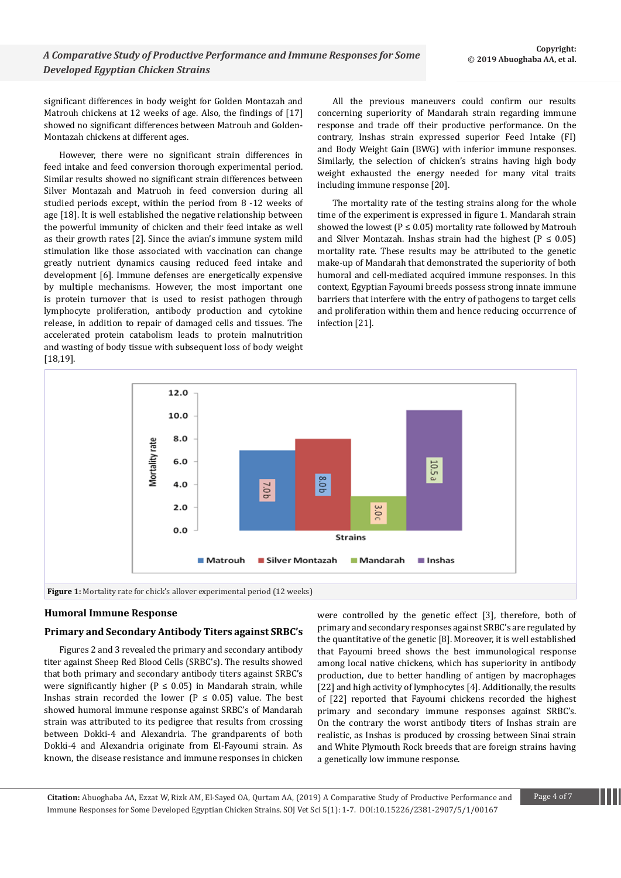significant differences in body weight for Golden Montazah and Matrouh chickens at 12 weeks of age. Also, the findings of [17] showed no significant differences between Matrouh and Golden-Montazah chickens at different ages.

However, there were no significant strain differences in feed intake and feed conversion thorough experimental period. Similar results showed no significant strain differences between Silver Montazah and Matruoh in feed conversion during all studied periods except, within the period from 8 -12 weeks of age [18]. It is well established the negative relationship between the powerful immunity of chicken and their feed intake as well as their growth rates [2]. Since the avian's immune system mild stimulation like those associated with vaccination can change greatly nutrient dynamics causing reduced feed intake and development [6]. Immune defenses are energetically expensive by multiple mechanisms. However, the most important one is protein turnover that is used to resist pathogen through lymphocyte proliferation, antibody production and cytokine release, in addition to repair of damaged cells and tissues. The accelerated protein catabolism leads to protein malnutrition and wasting of body tissue with subsequent loss of body weight [18,19].

All the previous maneuvers could confirm our results concerning superiority of Mandarah strain regarding immune response and trade off their productive performance. On the contrary, Inshas strain expressed superior Feed Intake (FI) and Body Weight Gain (BWG) with inferior immune responses. Similarly, the selection of chicken's strains having high body weight exhausted the energy needed for many vital traits including immune response [20].

The mortality rate of the testing strains along for the whole time of the experiment is expressed in figure 1. Mandarah strain showed the lowest ( $P \le 0.05$ ) mortality rate followed by Matrouh and Silver Montazah. Inshas strain had the highest ( $P \le 0.05$ ) mortality rate. These results may be attributed to the genetic make-up of Mandarah that demonstrated the superiority of both humoral and cell-mediated acquired immune responses. In this context, Egyptian Fayoumi breeds possess strong innate immune barriers that interfere with the entry of pathogens to target cells and proliferation within them and hence reducing occurrence of infection [21].



## **Humoral Immune Response**

#### **Primary and Secondary Antibody Titers against SRBC's**

Figures 2 and 3 revealed the primary and secondary antibody titer against Sheep Red Blood Cells (SRBC's). The results showed that both primary and secondary antibody titers against SRBC's were significantly higher ( $P \le 0.05$ ) in Mandarah strain, while Inshas strain recorded the lower ( $P \le 0.05$ ) value. The best showed humoral immune response against SRBC's of Mandarah strain was attributed to its pedigree that results from crossing between Dokki-4 and Alexandria. The grandparents of both Dokki-4 and Alexandria originate from El-Fayoumi strain. As known, the disease resistance and immune responses in chicken were controlled by the genetic effect [3], therefore, both of primary and secondary responses against SRBC's are regulated by the quantitative of the genetic [8]. Moreover, it is well established that Fayoumi breed shows the best immunological response among local native chickens, which has superiority in antibody production, due to better handling of antigen by macrophages [22] and high activity of lymphocytes [4]. Additionally, the results of [22] reported that Fayoumi chickens recorded the highest primary and secondary immune responses against SRBC's. On the contrary the worst antibody titers of Inshas strain are realistic, as Inshas is produced by crossing between Sinai strain and White Plymouth Rock breeds that are foreign strains having a genetically low immune response.

**Citation:** Abuoghaba AA, Ezzat W, Rizk AM, El-Sayed OA, Qurtam AA, (2019) A Comparative Study of Productive Performance and Page 4 of 7 Immune Responses for Some Developed Egyptian Chicken Strains. SOJ Vet Sci 5(1): 1-7. DOI:10.15226/2381-2907/5/1/00167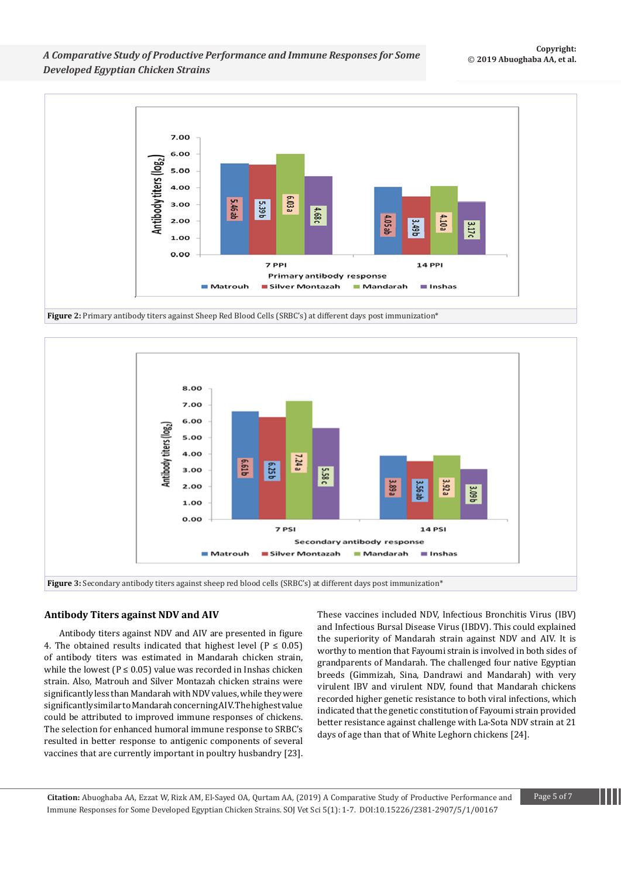*A Comparative Study of Productive Performance and Immune Responses for Some Developed Egyptian Chicken Strains*



**Figure 2:** Primary antibody titers against Sheep Red Blood Cells (SRBC's) at different days post immunization\*



#### **Antibody Titers against NDV and AIV**

Antibody titers against NDV and AIV are presented in figure 4. The obtained results indicated that highest level ( $P \le 0.05$ ) of antibody titers was estimated in Mandarah chicken strain, while the lowest ( $P \le 0.05$ ) value was recorded in Inshas chicken strain. Also, Matrouh and Silver Montazah chicken strains were significantly less than Mandarah with NDV values, while they were significantly similar to Mandarah concerning AIV. The highest value could be attributed to improved immune responses of chickens. The selection for enhanced humoral immune response to SRBC's resulted in better response to antigenic components of several vaccines that are currently important in poultry husbandry [23]. These vaccines included NDV, Infectious Bronchitis Virus (IBV) and Infectious Bursal Disease Virus (IBDV). This could explained the superiority of Mandarah strain against NDV and AIV. It is worthy to mention that Fayoumi strain is involved in both sides of grandparents of Mandarah. The challenged four native Egyptian breeds (Gimmizah, Sina, Dandrawi and Mandarah) with very virulent IBV and virulent NDV, found that Mandarah chickens recorded higher genetic resistance to both viral infections, which indicated that the genetic constitution of Fayoumi strain provided better resistance against challenge with La-Sota NDV strain at 21 days of age than that of White Leghorn chickens [24].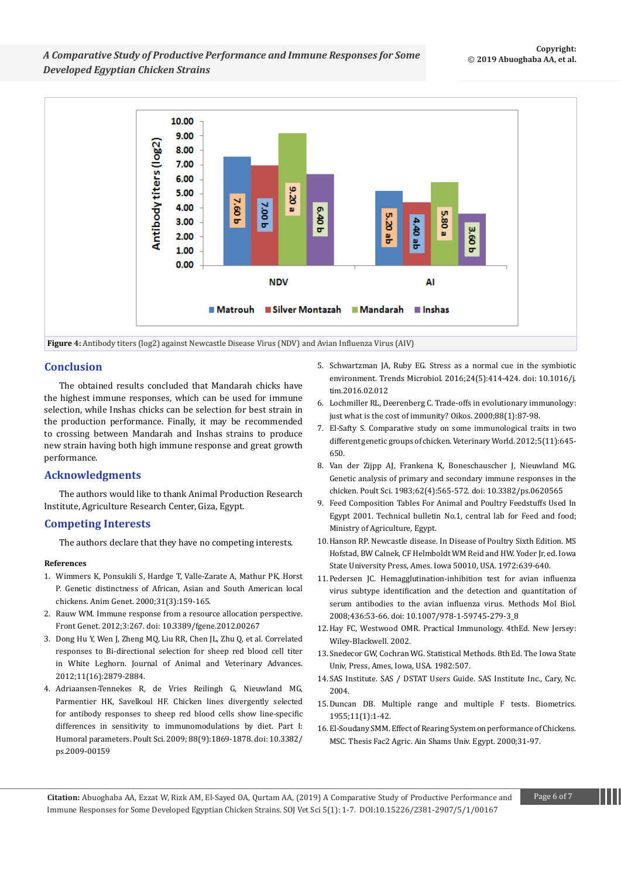

## **Conclusion**

The obtained results concluded that Mandarah chicks have the highest immune responses, which can be used for immune selection, while Inshas chicks can be selection for best strain in the production performance. Finally, it may be recommended to crossing between Mandarah and Inshas strains to produce new strain having both high immune response and great growth performance.

## **Acknowledgments**

The authors would like to thank Animal Production Research Institute, Agriculture Research Center, Giza, Egypt.

## **Competing Interests**

The authors declare that they have no competing interests.

#### **References**

- 1. [Wimmers K, Ponsukili S, Hardge T, Valle-Zarate A, Mathur PK, Horst](https://www.ncbi.nlm.nih.gov/pubmed/10895305)  [P. Genetic distinctness of African, Asian and South American local](https://www.ncbi.nlm.nih.gov/pubmed/10895305)  [chickens. Anim Genet. 2000;31\(3\):159-165.](https://www.ncbi.nlm.nih.gov/pubmed/10895305)
- 2. [Rauw WM. Immune response from a resource allocation perspective.](https://www.ncbi.nlm.nih.gov/pubmed/23413205)  [Front Genet. 2012;3:267. doi: 10.3389/fgene.2012.00267](https://www.ncbi.nlm.nih.gov/pubmed/23413205)
- 3. [Dong Hu Y, Wen J, Zheng MQ, Liu RR, Chen JL, Zhu Q, et al. Correlated](https://www.medwelljournals.com/abstract/?doi=javaa.2012.2879.2884)  [responses to Bi-directional selection for sheep red blood cell titer](https://www.medwelljournals.com/abstract/?doi=javaa.2012.2879.2884)  [in White Leghorn. Journal of Animal and Veterinary Advances.](https://www.medwelljournals.com/abstract/?doi=javaa.2012.2879.2884)  [2012;11\(16\):2879-2884.](https://www.medwelljournals.com/abstract/?doi=javaa.2012.2879.2884)
- 4. [Adriaansen-Tennekes R, de Vries Reilingh G, Nieuwland MG,](https://www.ncbi.nlm.nih.gov/pubmed/19687271)  [Parmentier HK, Savelkoul HF. Chicken lines divergently selected](https://www.ncbi.nlm.nih.gov/pubmed/19687271)  [for antibody responses to sheep red blood cells show line-specific](https://www.ncbi.nlm.nih.gov/pubmed/19687271)  [differences in sensitivity to immunomodulations by diet. Part I:](https://www.ncbi.nlm.nih.gov/pubmed/19687271)  [Humoral parameters. Poult Sci. 2009; 88\(9\):1869-1878. doi: 10.3382/](https://www.ncbi.nlm.nih.gov/pubmed/19687271) [ps.2009-00159](https://www.ncbi.nlm.nih.gov/pubmed/19687271)
- 5. [Schwartzman JA, Ruby EG. Stress as a normal cue in the symbiotic](https://www.ncbi.nlm.nih.gov/pubmed/27004825)  [environment. Trends Microbiol. 2016;24\(5\):414-424. doi: 10.1016/j.](https://www.ncbi.nlm.nih.gov/pubmed/27004825) [tim.2016.02.012](https://www.ncbi.nlm.nih.gov/pubmed/27004825)
- 6. [Lochmiller RL, Deerenberg C. Trade-offs in evolutionary immunology:](https://onlinelibrary.wiley.com/doi/10.1034/j.1600-0706.2000.880110.x)  [just what is the cost of immunity? Oikos. 2000;88\(1\):87-98.](https://onlinelibrary.wiley.com/doi/10.1034/j.1600-0706.2000.880110.x)
- 7. [El-Safty S. Comparative study on some immunological traits in two](https://www.researchgate.net/publication/289356597_Comparative_study_on_some_immunological_traits_in_two_different_genetic_groups_of_chicken)  [different genetic groups of chicken. Veterinary World. 2012;5\(11\):645-](https://www.researchgate.net/publication/289356597_Comparative_study_on_some_immunological_traits_in_two_different_genetic_groups_of_chicken) [650.](https://www.researchgate.net/publication/289356597_Comparative_study_on_some_immunological_traits_in_two_different_genetic_groups_of_chicken)
- 8. [Van der Zijpp AJ, Frankena K, Boneschauscher J, Nieuwland MG.](https://www.ncbi.nlm.nih.gov/pubmed/6866895)  [Genetic analysis of primary and secondary immune responses in the](https://www.ncbi.nlm.nih.gov/pubmed/6866895)  [chicken. Poult Sci. 1983;62\(4\):565-572. doi: 10.3382/ps.0620565](https://www.ncbi.nlm.nih.gov/pubmed/6866895)
- 9. Feed Composition Tables For Animal and Poultry Feedstuffs Used In Egypt 2001. Technical bulletin No.1, central lab for Feed and food; Ministry of Agriculture, Egypt.
- 10.Hanson RP. Newcastle disease. In Disease of Poultry Sixth Edition. MS Hofstad, BW Calnek, CF Helmboldt WM Reid and HW. Yoder Jr, ed. Iowa State University Press, Ames. Iowa 50010, USA. 1972:639-640.
- 11.[Pedersen JC. Hemagglutination-inhibition test for avian influenza](https://www.ncbi.nlm.nih.gov/pubmed/18370041)  [virus subtype identification and the detection and quantitation of](https://www.ncbi.nlm.nih.gov/pubmed/18370041)  [serum antibodies to the avian influenza virus. Methods Mol Biol.](https://www.ncbi.nlm.nih.gov/pubmed/18370041)  [2008;436:53-66. doi: 10.1007/978-1-59745-279-3\\_8](https://www.ncbi.nlm.nih.gov/pubmed/18370041)
- 12.[Hay FC, Westwood OMR. Practical Immunology. 4thEd. New Jersey:](https://onlinelibrary.wiley.com/doi/book/10.1002/9780470757475)  [Wiley-Blackwell. 2002.](https://onlinelibrary.wiley.com/doi/book/10.1002/9780470757475)
- 13.[Snedecor GW, Cochran WG. Statistical Methods. 8th Ed. The Iowa State](https://trove.nla.gov.au/work/10694367)  [Univ, Press, Ames, Iowa, USA. 1982:507.](https://trove.nla.gov.au/work/10694367)
- 14.SAS Institute. SAS / DSTAT Users Guide. SAS Institute Inc., Cary, Nc. 2004.
- 15.Duncan DB. Multiple range and multiple F tests. Biometrics. 1955;11(1):1-42.
- 16.El-Soudany SMM. Effect of Rearing System on performance of Chickens. MSC. Thesis Fac2 Agric. Ain Shams Univ. Egypt. 2000;31-97.